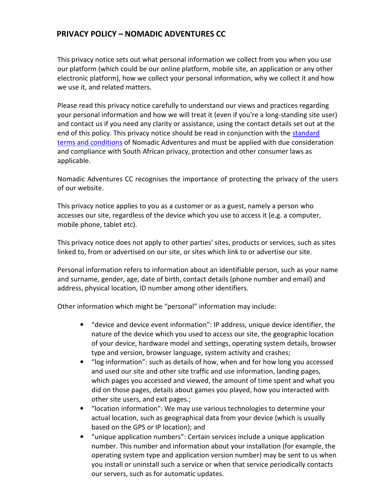#### PRIVACY POLICY – NOMADIC ADVENTURES CC

This privacy notice sets out what personal information we collect from you when you use our platform (which could be our online platform, mobile site, an application or any other electronic platform), how we collect your personal information, why we collect it and how we use it, and related matters.

Please read this privacy notice carefully to understand our views and practices regarding your personal information and how we will treat it (even if you're a long-standing site user) and contact us if you need any clarity or assistance, using the contact details set out at the end of this policy. This privacy notice should be read in conjunction with the standard terms and conditions of Nomadic Adventures and must be applied with due consideration and compliance with South African privacy, protection and other consumer laws as applicable.

Nomadic Adventures CC recognises the importance of protecting the privacy of the users of our website.

This privacy notice applies to you as a customer or as a guest, namely a person who accesses our site, regardless of the device which you use to access it (e.g. a computer, mobile phone, tablet etc).

This privacy notice does not apply to other parties' sites, products or services, such as sites linked to, from or advertised on our site, or sites which link to or advertise our site.

Personal information refers to information about an identifiable person, such as your name and surname, gender, age, date of birth, contact details (phone number and email) and address, physical location, ID number among other identifiers.

Other information which might be "personal" information may include:

- "device and device event information": IP address, unique device identifier, the nature of the device which you used to access our site, the geographic location of your device, hardware model and settings, operating system details, browser type and version, browser language, system activity and crashes;
- "log information": such as details of how, when and for how long you accessed and used our site and other site traffic and use information, landing pages, which pages you accessed and viewed, the amount of time spent and what you did on those pages, details about games you played, how you interacted with other site users, and exit pages.;
- "location information": We may use various technologies to determine your actual location, such as geographical data from your device (which is usually based on the GPS or IP location); and
- "unique application numbers": Certain services include a unique application number. This number and information about your installation (for example, the operating system type and application version number) may be sent to us when you install or uninstall such a service or when that service periodically contacts our servers, such as for automatic updates.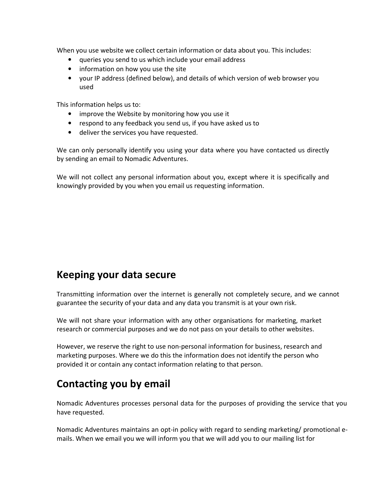When you use website we collect certain information or data about you. This includes:

- queries you send to us which include your email address
- information on how you use the site
- your IP address (defined below), and details of which version of web browser you used

This information helps us to:

- improve the Website by monitoring how you use it
- respond to any feedback you send us, if you have asked us to
- deliver the services you have requested.

We can only personally identify you using your data where you have contacted us directly by sending an email to Nomadic Adventures.

We will not collect any personal information about you, except where it is specifically and knowingly provided by you when you email us requesting information.

## Keeping your data secure

Transmitting information over the internet is generally not completely secure, and we cannot guarantee the security of your data and any data you transmit is at your own risk.

We will not share your information with any other organisations for marketing, market research or commercial purposes and we do not pass on your details to other websites.

However, we reserve the right to use non-personal information for business, research and marketing purposes. Where we do this the information does not identify the person who provided it or contain any contact information relating to that person.

## Contacting you by email

Nomadic Adventures processes personal data for the purposes of providing the service that you have requested.

Nomadic Adventures maintains an opt-in policy with regard to sending marketing/ promotional emails. When we email you we will inform you that we will add you to our mailing list for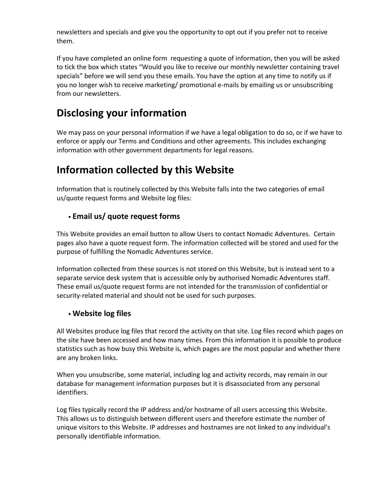newsletters and specials and give you the opportunity to opt out if you prefer not to receive them.

If you have completed an online form requesting a quote of information, then you will be asked to tick the box which states "Would you like to receive our monthly newsletter containing travel specials" before we will send you these emails. You have the option at any time to notify us if you no longer wish to receive marketing/ promotional e-mails by emailing us or unsubscribing from our newsletters.

# Disclosing your information

We may pass on your personal information if we have a legal obligation to do so, or if we have to enforce or apply our Terms and Conditions and other agreements. This includes exchanging information with other government departments for legal reasons.

# Information collected by this Website

Information that is routinely collected by this Website falls into the two categories of email us/quote request forms and Website log files:

### • Email us/ quote request forms

This Website provides an email button to allow Users to contact Nomadic Adventures. Certain pages also have a quote request form. The information collected will be stored and used for the purpose of fulfilling the Nomadic Adventures service.

Information collected from these sources is not stored on this Website, but is instead sent to a separate service desk system that is accessible only by authorised Nomadic Adventures staff. These email us/quote request forms are not intended for the transmission of confidential or security-related material and should not be used for such purposes.

### • Website log files

All Websites produce log files that record the activity on that site. Log files record which pages on the site have been accessed and how many times. From this information it is possible to produce statistics such as how busy this Website is, which pages are the most popular and whether there are any broken links.

When you unsubscribe, some material, including log and activity records, may remain in our database for management information purposes but it is disassociated from any personal identifiers.

Log files typically record the IP address and/or hostname of all users accessing this Website. This allows us to distinguish between different users and therefore estimate the number of unique visitors to this Website. IP addresses and hostnames are not linked to any individual's personally identifiable information.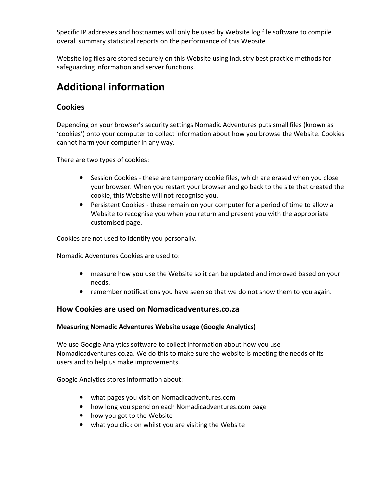Specific IP addresses and hostnames will only be used by Website log file software to compile overall summary statistical reports on the performance of this Website

Website log files are stored securely on this Website using industry best practice methods for safeguarding information and server functions.

# Additional information

### Cookies

Depending on your browser's security settings Nomadic Adventures puts small files (known as 'cookies') onto your computer to collect information about how you browse the Website. Cookies cannot harm your computer in any way.

There are two types of cookies:

- Session Cookies these are temporary cookie files, which are erased when you close your browser. When you restart your browser and go back to the site that created the cookie, this Website will not recognise you.
- Persistent Cookies these remain on your computer for a period of time to allow a Website to recognise you when you return and present you with the appropriate customised page.

Cookies are not used to identify you personally.

Nomadic Adventures Cookies are used to:

- measure how you use the Website so it can be updated and improved based on your needs.
- remember notifications you have seen so that we do not show them to you again.

#### How Cookies are used on Nomadicadventures.co.za

#### Measuring Nomadic Adventures Website usage (Google Analytics)

We use Google Analytics software to collect information about how you use Nomadicadventures.co.za. We do this to make sure the website is meeting the needs of its users and to help us make improvements.

Google Analytics stores information about:

- what pages you visit on Nomadicadventures.com
- how long you spend on each Nomadicadventures.com page
- how you got to the Website
- what you click on whilst you are visiting the Website